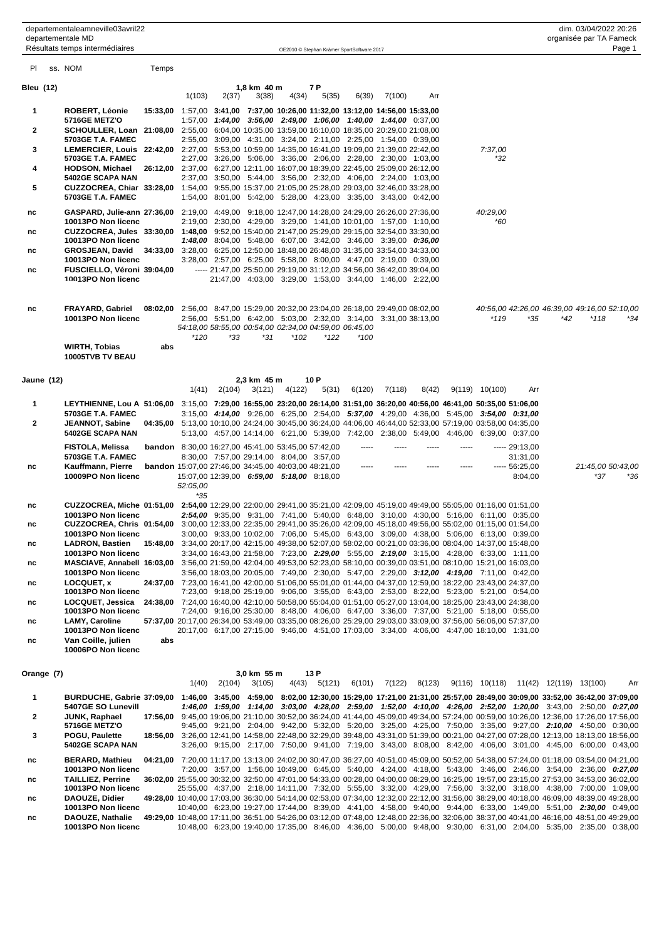| PI           | ss. NOM                                                                                                                                             | Temps |                                                                                                             |        |                      |                                                                                                                                                                                     |               |        |        |       |       |                    |                            |                                                                                                                                                                                                                                                              |                   |     |
|--------------|-----------------------------------------------------------------------------------------------------------------------------------------------------|-------|-------------------------------------------------------------------------------------------------------------|--------|----------------------|-------------------------------------------------------------------------------------------------------------------------------------------------------------------------------------|---------------|--------|--------|-------|-------|--------------------|----------------------------|--------------------------------------------------------------------------------------------------------------------------------------------------------------------------------------------------------------------------------------------------------------|-------------------|-----|
| Bleu (12)    |                                                                                                                                                     |       | 1(103)                                                                                                      | 2(37)  | 1,8 km 40 m<br>3(38) | 4(34)                                                                                                                                                                               | 7 P<br>5(35)  | 6(39)  | 7(100) | Arr   |       |                    |                            |                                                                                                                                                                                                                                                              |                   |     |
| 1            | ROBERT, Léonie                                                                                                                                      |       | 15:33,00 1:57,00 3:41,00 7:37,00 10:26,00 11:32,00 13:12,00 14:56,00 15:33,00                               |        |                      |                                                                                                                                                                                     |               |        |        |       |       |                    |                            |                                                                                                                                                                                                                                                              |                   |     |
| $\mathbf{2}$ | <b>5716GE METZ'O</b><br>SCHOULLER, Loan 21:08,00 2:55,00 6:04,00 10:35,00 13:59,00 16:10,00 18:35,00 20:29,00 21:08,00                              |       |                                                                                                             |        |                      | 1:57,00 1:44,00 3:56,00 2:49,00 1:06,00 1:40,00 1:44,00 0:37,00                                                                                                                     |               |        |        |       |       |                    |                            |                                                                                                                                                                                                                                                              |                   |     |
| 3            | 5703GE T.A. FAMEC<br>LEMERCIER, Louis 22:42,00 2:27,00 5:53,00 10:59,00 14:35,00 16:41,00 19:09,00 21:39,00 22:42,00                                |       |                                                                                                             |        |                      | 2:55,00 3:09,00 4:31,00 3:24,00 2:11,00 2:25,00 1:54,00 0:39,00                                                                                                                     |               |        |        |       |       | 7:37,00            |                            |                                                                                                                                                                                                                                                              |                   |     |
| 4            | 5703GE T.A. FAMEC<br><b>HODSON, Michael</b>                                                                                                         |       | 26:12,00 2:37,00 6:27,00 12:11,00 16:07,00 18:39,00 22:45,00 25:09,00 26:12,00                              |        |                      | 2:27,00 3:26,00 5:06,00 3:36,00 2:06,00 2:28,00 2:30,00 1:03,00                                                                                                                     |               |        |        |       |       | *32                |                            |                                                                                                                                                                                                                                                              |                   |     |
|              | 5402GE SCAPA NAN                                                                                                                                    |       |                                                                                                             |        |                      | 2:37,00 3:50,00 5:44,00 3:56,00 2:32,00 4:06,00 2:24,00 1:03,00                                                                                                                     |               |        |        |       |       |                    |                            |                                                                                                                                                                                                                                                              |                   |     |
| 5            | CUZZOCREA, Chiar 33:28,00 1:54,00 9:55,00 15:37,00 21:05,00 25:28,00 29:03,00 32:46,00 33:28,00<br>5703GE T.A. FAMEC                                |       |                                                                                                             |        |                      | 1:54,00 8:01,00 5:42,00 5:28,00 4:23,00 3:35,00 3:43,00 0:42,00                                                                                                                     |               |        |        |       |       |                    |                            |                                                                                                                                                                                                                                                              |                   |     |
| nc           | GASPARD, Julie-ann 27:36,00 2:19,00 4:49,00 9:18,00 12:47,00 14:28,00 24:29,00 26:26,00 27:36,00                                                    |       |                                                                                                             |        |                      |                                                                                                                                                                                     |               |        |        |       |       | 40:29,00           |                            |                                                                                                                                                                                                                                                              |                   |     |
| nc           | 10013PO Non licenc<br>CUZZOCREA, Jules 33:30,00 1:48,00 9:52,00 15:40,00 21:47,00 25:29,00 29:15,00 32:54,00 33:30,00                               |       |                                                                                                             |        |                      | 2:19,00 2:30,00 4:29,00 3:29,00 1:41,00 10:01,00 1:57,00 1:10,00                                                                                                                    |               |        |        |       |       | *60                |                            |                                                                                                                                                                                                                                                              |                   |     |
| nc           | 10013PO Non licenc<br>GROSJEAN, David 34:33,00 3:28,00 6:25,00 12:50,00 18:48,00 26:48,00 31:35,00 33:54,00 34:33,00                                |       |                                                                                                             |        |                      | <b>1:48,00</b> 8:04,00 5:48,00 6:07,00 3:42,00 3:46,00 3:39,00 0:36,00                                                                                                              |               |        |        |       |       |                    |                            |                                                                                                                                                                                                                                                              |                   |     |
| nc           | 10013PO Non licenc<br>FUSCIELLO, Véroni 39:04,00                                                                                                    |       |                                                                                                             |        |                      | 3:28,00 2:57,00 6:25,00 5:58,00 8:00,00 4:47,00 2:19,00 0:39,00<br>----- 21:47,00 25:50,00 29:19,00 31:12,00 34:56,00 36:42,00 39:04,00                                             |               |        |        |       |       |                    |                            |                                                                                                                                                                                                                                                              |                   |     |
|              | 10013PO Non licenc                                                                                                                                  |       |                                                                                                             |        |                      | 21:47,00 4:03,00 3:29,00 1:53,00 3:44,00 1:46,00 2:22,00                                                                                                                            |               |        |        |       |       |                    |                            |                                                                                                                                                                                                                                                              |                   |     |
| nc           | FRAYARD, Gabriel<br>10013PO Non licenc                                                                                                              |       | 08:02,00 2:56,00 8:47,00 15:29,00 20:32,00 23:04,00 26:18,00 29:49,00 08:02,00                              |        |                      | 2:56,00 5:51,00 6:42,00 5:03,00 2:32,00 3:14,00 3:31,00 38:13,00                                                                                                                    |               |        |        |       |       | $*119$             | *35                        | 40:56,00 42:26,00 46:39,00 49:16,00 52:10,00<br>*42                                                                                                                                                                                                          | *118              | *34 |
|              |                                                                                                                                                     |       | *120                                                                                                        | *33    | *31                  | 54:18,00 58:55,00 00:54,00 02:34,00 04:59,00 06:45,00<br>$*102$                                                                                                                     | *122          | $*100$ |        |       |       |                    |                            |                                                                                                                                                                                                                                                              |                   |     |
|              | <b>WIRTH, Tobias</b><br>10005TVB TV BEAU                                                                                                            | abs   |                                                                                                             |        |                      |                                                                                                                                                                                     |               |        |        |       |       |                    |                            |                                                                                                                                                                                                                                                              |                   |     |
| Jaune (12)   |                                                                                                                                                     |       | 1(41)                                                                                                       |        | 2,3 km 45 m          | 2(104) 3(121) 4(122)                                                                                                                                                                | 10 P<br>5(31) | 6(120) | 7(118) | 8(42) |       | $9(119)$ $10(100)$ | Arr                        |                                                                                                                                                                                                                                                              |                   |     |
| 1            | LEYTHIENNE, Lou A 51:06,00 3:15,00 7:29,00 16:55,00 23:20,00 26:14,00 31:51,00 36:20,00 40:56,00 46:41,00 50:35,00 51:06,00                         |       |                                                                                                             |        |                      |                                                                                                                                                                                     |               |        |        |       |       |                    |                            |                                                                                                                                                                                                                                                              |                   |     |
| $\mathbf{2}$ | 5703GE T.A. FAMEC<br>JEANNOT, Sabine<br><b>5402GE SCAPA NAN</b>                                                                                     |       | 04:35,00 5:13,00 10:10,00 24:24,00 30:45,00 36:24,00 44:06,00 46:44,00 52:33,00 57:19,00 03:58,00 04:35,00  |        |                      | 3:15,00 4:14,00 9:26,00 6:25,00 2:54,00 5:37,00 4:29,00 4:36,00 5:45,00 3:54,00 0:31,00<br>5:13,00 4:57,00 14:14,00 6:21,00 5:39,00 7:42,00 2:38,00 5:49,00 4:46,00 6:39,00 0:37,00 |               |        |        |       |       |                    |                            |                                                                                                                                                                                                                                                              |                   |     |
|              | FISTOLA, Melissa                                                                                                                                    |       | <b>bandon</b> 8:30,00 16:27,00 45:41,00 53:45,00 57:42,00                                                   |        |                      |                                                                                                                                                                                     |               |        |        |       | ----- |                    | $--- 29:13,00$             |                                                                                                                                                                                                                                                              |                   |     |
| nc           | 5703GE T.A. FAMEC<br>Kauffmann, Pierre                                                                                                              |       | <b>bandon</b> 15:07,00 27:46,00 34:45,00 40:03,00 48:21,00                                                  |        |                      | 8:30,00 7:57,00 29:14,00 8:04,00 3:57,00                                                                                                                                            |               | -----  |        |       | ----- |                    | 31:31,00<br>$--- 56:25,00$ |                                                                                                                                                                                                                                                              | 21:45,00 50:43,00 |     |
|              | 10009PO Non licenc                                                                                                                                  |       | 52:05,00<br>*35                                                                                             |        |                      | 15:07,00 12:39,00 6:59,00 5:18,00 8:18,00                                                                                                                                           |               |        |        |       |       |                    | 8:04,00                    |                                                                                                                                                                                                                                                              | *37               | *36 |
| nc           | CUZZOCREA, Miche 01:51,00 2:54,00 12:29,00 22:00,00 29:41,00 35:21,00 42:09,00 45:19,00 49:49,00 55:05,00 01:16,00 01:51,00                         |       |                                                                                                             |        |                      |                                                                                                                                                                                     |               |        |        |       |       |                    |                            |                                                                                                                                                                                                                                                              |                   |     |
| nc           | 10013PO Non licenc<br>CUZZOCREA, Chris 01:54,00 3:00,00 12:33,00 22:35,00 29:41,00 35:26,00 42:09,00 45:18,00 49:56,00 55:02,00 01:15,00 01:54,00   |       |                                                                                                             |        |                      | 2:54,00 9:35,00 9:31,00 7:41,00 5:40,00 6:48,00 3:10,00 4:30,00 5:16,00 6:11,00 0:35,00                                                                                             |               |        |        |       |       |                    |                            |                                                                                                                                                                                                                                                              |                   |     |
| nc           | 10013PO Non licenc<br>LADRON, Bastien                                                                                                               |       | 15:48,00 3:34,00 20:17,00 42:15,00 49:38,00 52:07,00 58:02,00 00:21,00 03:36,00 08:04,00 14:37,00 15:48,00  |        |                      | 3:00,00 9:33,00 10:02,00 7:06,00 5:45,00 6:43,00 3:09,00 4:38,00 5:06,00 6:13,00 0:39,00                                                                                            |               |        |        |       |       |                    |                            |                                                                                                                                                                                                                                                              |                   |     |
|              | 10013PO Non licenc                                                                                                                                  |       |                                                                                                             |        |                      | 3:34,00 16:43,00 21:58,00 7:23,00 2:29,00 5:55,00 2:19,00 3:15,00 4:28,00 6:33,00 1:11,00                                                                                           |               |        |        |       |       |                    |                            |                                                                                                                                                                                                                                                              |                   |     |
| nc           | MASCIAVE, Annabell 16:03,00 3:56,00 21:59,00 42:04,00 49:53,00 52:23,00 58:10,00 00:39,00 03:51,00 08:10,00 15:21,00 16:03,00<br>10013PO Non licenc |       |                                                                                                             |        |                      | 3:56,00 18:03,00 20:05,00 7:49,00 2:30,00 5:47,00 2:29,00 3:12,00 4:19,00 7:11,00 0:42,00                                                                                           |               |        |        |       |       |                    |                            |                                                                                                                                                                                                                                                              |                   |     |
| nc           | LOCQUET, x<br>10013PO Non licenc                                                                                                                    |       | 24:37,00 7:23,00 16:41,00 42:00,00 51:06,00 55:01,00 01:44,00 04:37,00 12:59,00 18:22,00 23:43,00 24:37,00  |        |                      | 7:23,00 9:18,00 25:19,00 9:06,00 3:55,00 6:43,00 2:53,00 8:22,00 5:23,00 5:21,00 0:54,00                                                                                            |               |        |        |       |       |                    |                            |                                                                                                                                                                                                                                                              |                   |     |
| nc           | LOCQUET, Jessica<br>10013PO Non licenc                                                                                                              |       | 24:38,00 7:24,00 16:40,00 42:10,00 50:58,00 55:04,00 01:51,00 05:27,00 13:04,00 18:25,00 23:43,00 24:38,00  |        |                      | 7:24,00 9:16,00 25:30,00 8:48,00 4:06,00 6:47,00 3:36,00 7:37,00 5:21,00 5:18,00 0:55,00                                                                                            |               |        |        |       |       |                    |                            |                                                                                                                                                                                                                                                              |                   |     |
| nc           | <b>LAMY, Caroline</b>                                                                                                                               |       | 57:37,00 20:17,00 26:34,00 53:49,00 03:35,00 08:26,00 25:29,00 29:03,00 33:09,00 37:56,00 56:06,00 57:37,00 |        |                      |                                                                                                                                                                                     |               |        |        |       |       |                    |                            |                                                                                                                                                                                                                                                              |                   |     |
| nc           | 10013PO Non licenc<br>Van Coille, julien<br>10006PO Non licenc                                                                                      | abs   |                                                                                                             |        |                      | 20:17,00 6:17,00 27:15,00 9:46,00 4:51,00 17:03,00 3:34,00 4:06,00 4:47,00 18:10,00 1:31,00                                                                                         |               |        |        |       |       |                    |                            |                                                                                                                                                                                                                                                              |                   |     |
| Orange (7)   |                                                                                                                                                     |       |                                                                                                             |        | 3,0 km 55 m          |                                                                                                                                                                                     | 13 P          |        |        |       |       |                    |                            |                                                                                                                                                                                                                                                              |                   |     |
| 1            | BURDUCHE, Gabrie 37:09,00 1:46,00 3:45,00 4:59,00 8:02,00 12:30,00 15:29,00 17:21,00 21:31,00 25:57,00 28:49,00 30:09,00 33:52,00 36:42,00 37:09,00 |       | 1(40)                                                                                                       | 2(104) | 3(105)               |                                                                                                                                                                                     | 4(43) 5(121)  |        |        |       |       |                    |                            | 6(101) 7(122) 8(123) 9(116) 10(118) 11(42) 12(119) 13(100)                                                                                                                                                                                                   |                   | Arr |
|              | 5407GE SO Lunevill                                                                                                                                  |       |                                                                                                             |        |                      |                                                                                                                                                                                     |               |        |        |       |       |                    |                            | 1:46,00 1:59,00 1:14,00 3:03,00 4:28,00 2:59,00 1:52,00 4:10,00 4:26,00 2:52,00 1:20,00 3:43,00 2:50,00 0:27,00                                                                                                                                              |                   |     |
| 2            | JUNK, Raphael<br><b>5716GE METZ'O</b>                                                                                                               |       |                                                                                                             |        |                      |                                                                                                                                                                                     |               |        |        |       |       |                    |                            | 17:56,00 9:45,00 19:06,00 21:10,00 30:52,00 36:24,00 41:44,00 45:09,00 49:34,00 57:24,00 00:59,00 10:26,00 12:36,00 17:26,00 17:56,00<br>9:45,00 9:21,00 2:04,00 9:42,00 5:32,00 5:20,00 3:25,00 4:25,00 7:50,00 3:35,00 9:27,00 2:10,00 4:50,00 0:30,00     |                   |     |
| 3            | POGU, Paulette<br>5402GE SCAPA NAN                                                                                                                  |       |                                                                                                             |        |                      |                                                                                                                                                                                     |               |        |        |       |       |                    |                            | 18:56,00 3:26,00 12:41,00 14:58,00 22:48,00 32:29,00 39:48,00 43:31,00 51:39,00 00:21,00 04:27,00 07:28,00 12:13,00 18:13,00 18:56,00<br>3:26,00 9:15,00 2:17,00 7:50,00 9:41,00 7:19,00 3:43,00 8:08,00 8:42,00 4:06,00 3:01,00 4:45,00 6:00,00 0:43,00     |                   |     |
| nc           | <b>BERARD, Mathieu</b><br>10013PO Non licenc                                                                                                        |       |                                                                                                             |        |                      |                                                                                                                                                                                     |               |        |        |       |       |                    |                            | 04:21,00 7:20,00 11:17,00 13:13,00 24:02,00 30:47,00 36:27,00 40:51,00 45:09,00 50:52,00 54:38,00 57:24,00 01:18,00 03:54,00 04:21,00<br>7:20,00 3:57,00 1:56,00 10:49,00 6:45,00 5:40,00 4:24,00 4:18,00 5:43,00 3:46,00 2:46,00 3:54,00 2:36,00 0:27,00    |                   |     |
| nc           | <b>TAILLIEZ, Perrine</b>                                                                                                                            |       |                                                                                                             |        |                      |                                                                                                                                                                                     |               |        |        |       |       |                    |                            | 36:02,00 25:55,00 30:32,00 32:50,00 47:01,00 54:33,00 00:28,00 04:00,00 08:29,00 16:25,00 19:57,00 23:15,00 27:53,00 34:53,00 36:02,00                                                                                                                       |                   |     |
| nc           | 10013PO Non licenc<br>DAOUZE, Didier                                                                                                                |       |                                                                                                             |        |                      |                                                                                                                                                                                     |               |        |        |       |       |                    |                            | 25:55,00 4:37,00 2:18,00 14:11,00 7:32,00 5:55,00 3:32,00 4:29,00 7:56,00 3:32,00 3:18,00 4:38,00 7:00,00 1:09,00<br>49:28,00 10:40,00 17:03,00 36:30,00 54:14,00 02:53,00 07:34,00 12:32,00 22:12,00 31:56,00 38:29,00 40:18,00 46:09,00 48:39,00 49:28,00  |                   |     |
| nc           | 10013PO Non licenc<br>DAOUZE, Nathalie                                                                                                              |       |                                                                                                             |        |                      |                                                                                                                                                                                     |               |        |        |       |       |                    |                            | 10:40,00 6:23,00 19:27,00 17:44,00 8:39,00 4:41,00 4:58,00 9:40,00 9:44,00 6:33,00 1:49,00 5:51,00 2:30,00 0:49,00<br>49:29,00 10:48,00 17:11,00 36:51,00 54:26,00 03:12,00 07:48,00 12:48,00 22:36,00 32:06,00 38:37,00 40:41,00 46:16,00 48:51,00 49:29,00 |                   |     |

**10013PO Non licenc** 10:48,00 6:23,00 19:40,00 17:35,00 8:46,00 4:36,00 5:00,00 9:48,00 9:30,00 6:31,00 2:04,00 5:35,00 2:35,00 0:38,00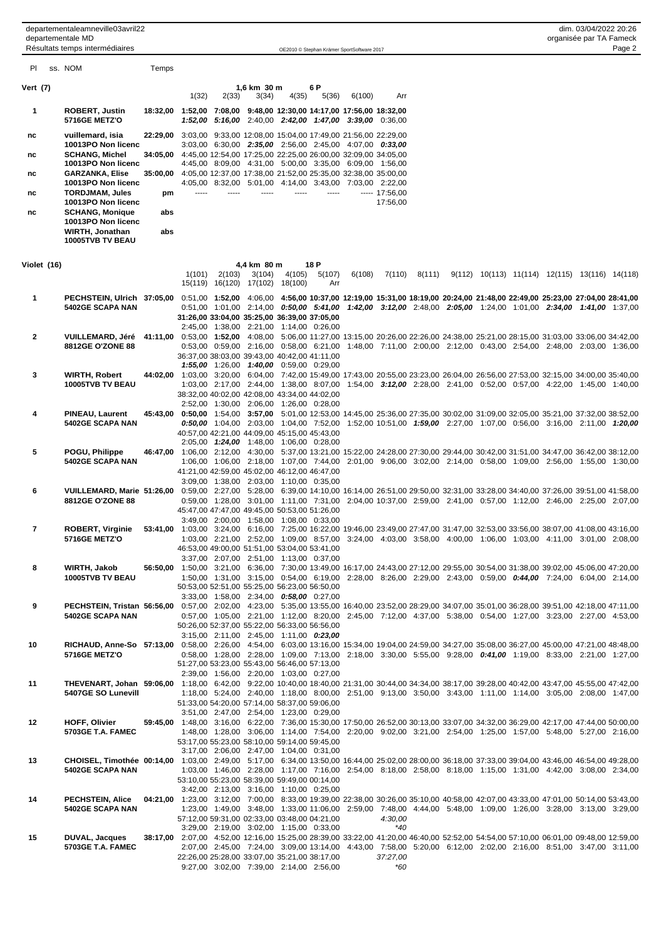departementaleamneville03avril22 dim. 03/04/2022 20:26 departementale MD organisée par TA Fameck

Résultats temps intermédiaires resumes and the comparison of the control of Stephan Krämer SportSoftware 2017 Page 2017 Page 2017 Page 2017 Page 2017 Page 2017 Page 2017 Page 2017 Page 2017 Page 2017 Page 2017 Page 2018 Pa

| PL       |             | ss. NOM                                                                                                                                                                    | Temps |                                                                                                                                      |        |                                 |                                                                                         |               |                                                                                                                                             |                            |        |  |  |                                                            |  |
|----------|-------------|----------------------------------------------------------------------------------------------------------------------------------------------------------------------------|-------|--------------------------------------------------------------------------------------------------------------------------------------|--------|---------------------------------|-----------------------------------------------------------------------------------------|---------------|---------------------------------------------------------------------------------------------------------------------------------------------|----------------------------|--------|--|--|------------------------------------------------------------|--|
| Vert (7) |             |                                                                                                                                                                            |       | 1(32)                                                                                                                                | 2(33)  | 1,6 km 30 m<br>3(34)            |                                                                                         | 6 P<br>5(36)  | 6(100)                                                                                                                                      | Arr                        |        |  |  |                                                            |  |
| 1        |             | <b>ROBERT, Justin</b><br><b>5716GE METZ'O</b>                                                                                                                              |       | 18:32,00 1:52,00 7:08,00 9:48,00 12:30,00 14:17,00 17:56,00 18:32,00                                                                 |        |                                 | 4(35)                                                                                   |               | 1:52,00 5:16,00 2:40,00 2:42,00 1:47,00 3:39,00 0:36,00                                                                                     |                            |        |  |  |                                                            |  |
| nc       |             | vuillemard, isia                                                                                                                                                           |       | 22:29,00 3:03,00 9:33,00 12:08,00 15:04,00 17:49,00 21:56,00 22:29,00                                                                |        |                                 |                                                                                         |               |                                                                                                                                             |                            |        |  |  |                                                            |  |
| nc       |             | 10013PO Non licenc<br><b>SCHANG, Michel</b>                                                                                                                                |       | 34:05.00 4:45.00 12:54,00 17:25,00 22:25,00 26:00,00 32:09,00 34:05,00                                                               |        |                                 |                                                                                         |               | 3:03,00 6:30,00 2:35,00 2:56,00 2:45,00 4:07,00 0:33,00                                                                                     |                            |        |  |  |                                                            |  |
|          |             | 10013PO Non licenc                                                                                                                                                         |       |                                                                                                                                      |        |                                 |                                                                                         |               | 4:45,00 8:09,00 4:31,00 5:00,00 3:35,00 6:09,00 1:56,00                                                                                     |                            |        |  |  |                                                            |  |
| nc       |             | <b>GARZANKA, Elise</b><br>10013PO Non licenc                                                                                                                               |       | 35:00,00 4:05,00 12:37,00 17:38,00 21:52,00 25:35,00 32:38,00 35:00,00                                                               |        |                                 |                                                                                         |               | 4:05,00 8:32,00 5:01,00 4:14,00 3:43,00 7:03,00 2:22,00                                                                                     |                            |        |  |  |                                                            |  |
| nc       |             | <b>TORDJMAM, Jules</b><br>10013PO Non licenc                                                                                                                               | pm    | -----                                                                                                                                |        |                                 |                                                                                         | -----         |                                                                                                                                             | $--- 17:56,00$<br>17:56,00 |        |  |  |                                                            |  |
| nc       |             | <b>SCHANG, Monique</b><br>10013PO Non licenc                                                                                                                               | abs   |                                                                                                                                      |        |                                 |                                                                                         |               |                                                                                                                                             |                            |        |  |  |                                                            |  |
|          |             | WIRTH, Jonathan<br>10005TVB TV BEAU                                                                                                                                        | abs   |                                                                                                                                      |        |                                 |                                                                                         |               |                                                                                                                                             |                            |        |  |  |                                                            |  |
|          | Violet (16) |                                                                                                                                                                            |       |                                                                                                                                      |        | 4,4 km 80 m                     |                                                                                         | 18 P          |                                                                                                                                             |                            |        |  |  |                                                            |  |
|          |             |                                                                                                                                                                            |       | 1(101)                                                                                                                               | 2(103) | 3(104)                          | 4(105)                                                                                  | 5(107)<br>Arr | 6(108)                                                                                                                                      | 7(110)                     | 8(111) |  |  | $9(112)$ $10(113)$ $11(114)$ $12(115)$ $13(116)$ $14(118)$ |  |
| 1        |             | PECHSTEIN, Ulrich 37:05,00 0:51,00 1:52,00 4:06,00 4:56,00 10:37,00 12:19,00 15:31,00 18:19,00 20:24,00 21:48,00 22:49,00 25:23,00 27:04,00 28:41,00                       |       |                                                                                                                                      |        | 15(119) 16(120) 17(102) 18(100) |                                                                                         |               |                                                                                                                                             |                            |        |  |  |                                                            |  |
|          |             | 5402GE SCAPA NAN                                                                                                                                                           |       | 31:26,00 33:04,00 35:25,00 36:39,00 37:05,00                                                                                         |        |                                 |                                                                                         |               | $0.51,00$ $1.01,00$ $2.14,00$ $0.50,00$ $5.41,00$ $1.42,00$ $3.12,00$ $2.48,00$ $2.05,00$ $1.24,00$ $1.01,00$ $2.34,00$ $1.41,00$ $1.37,00$ |                            |        |  |  |                                                            |  |
|          |             |                                                                                                                                                                            |       |                                                                                                                                      |        |                                 | 2:45,00 1:38,00 2:21,00 1:14,00 0:26,00                                                 |               |                                                                                                                                             |                            |        |  |  |                                                            |  |
| 2        |             | VUILLEMARD, Jéré 41:11,00 0:53,00 1:52,00 4:08,00 5:06,00 11:27,00 13:15,00 20:26,00 22:26,00 24:38,00 25:21,00 28:15,00 31:03,00 33:06,00 34:42,00<br>8812GE O'ZONE 88    |       |                                                                                                                                      |        |                                 |                                                                                         |               | 0:53,00 0:59,00 2:16,00 0:58,00 6:21,00 1:48,00 7:11,00 2:00,00 2:12,00 0:43,00 2:54,00 2:48,00 2:03,00 1:36,00                             |                            |        |  |  |                                                            |  |
|          |             |                                                                                                                                                                            |       |                                                                                                                                      |        |                                 | 36:37,00 38:03,00 39:43,00 40:42,00 41:11,00<br>1:55,00 1:26,00 1:40,00 0:59,00 0:29,00 |               |                                                                                                                                             |                            |        |  |  |                                                            |  |
| 3        |             | <b>WIRTH, Robert</b><br>10005TVB TV BEAU                                                                                                                                   |       | 44:02,00 1:03,00 3:20,00 6:04,00 7:42,00 15:49,00 17:43,00 20:55,00 23:23,00 26:04,00 26:56,00 27:53,00 32:15,00 34:00,00 35:40,00   |        |                                 |                                                                                         |               | 1:03,00 2:17,00 2:44,00 1:38,00 8:07,00 1:54,00 3:12,00 2:28,00 2:41,00 0:52,00 0:57,00 4:22,00 1:45,00 1:40,00                             |                            |        |  |  |                                                            |  |
|          |             |                                                                                                                                                                            |       |                                                                                                                                      |        |                                 | 38:32,00 40:02,00 42:08,00 43:34,00 44:02,00                                            |               |                                                                                                                                             |                            |        |  |  |                                                            |  |
| 4        |             | <b>PINEAU, Laurent</b>                                                                                                                                                     |       | 45:43,00 0:50,00 1:54,00 38:57,00 5:01,00 12:53,00 14:45,00 25:36,00 27:35,00 30:02,00 31:09,00 32:05,00 35:21,00 37:32,00 38:52,00  |        |                                 | 2:52,00 1:30,00 2:06,00 1:26,00 0:28,00                                                 |               |                                                                                                                                             |                            |        |  |  |                                                            |  |
|          |             | 5402GE SCAPA NAN                                                                                                                                                           |       | 40:57,00 42:21,00 44:09,00 45:15,00 45:43,00                                                                                         |        |                                 |                                                                                         |               | $0.50,00$ 1:04,00 2:03,00 1:04,00 7:52,00 1:52,00 10:51,00 1:59,00 2:27,00 1:07,00 0:56,00 3:16,00 2:11,00 1:20,00                          |                            |        |  |  |                                                            |  |
| 5        |             | POGU, Philippe                                                                                                                                                             |       | 46:47,00 1:06,00 2:12,00 4:30,00 5:37,00 13:21,00 15:22,00 24:28,00 27:30,00 29:44,00 30:42,00 31:51,00 34:47,00 36:42,00 38:12,00   |        |                                 | 2:05,00 1:24,00 1:48,00 1:06,00 0:28,00                                                 |               |                                                                                                                                             |                            |        |  |  |                                                            |  |
|          |             | 5402GE SCAPA NAN                                                                                                                                                           |       |                                                                                                                                      |        |                                 |                                                                                         |               | 1:06,00 1:06,00 2:18,00 1:07,00 7:44,00 2:01,00 9:06,00 3:02,00 2:14,00 0:58,00 1:09,00 2:56,00 1:55,00 1:30,00                             |                            |        |  |  |                                                            |  |
|          |             |                                                                                                                                                                            |       | 41:21,00 42:59,00 45:02,00 46:12,00 46:47,00                                                                                         |        |                                 | 3:09,00 1:38,00 2:03,00 1:10,00 0:35,00                                                 |               |                                                                                                                                             |                            |        |  |  |                                                            |  |
| 6        |             | VUILLEMARD, Marie 51:26,00 0:59,00 2:27,00 5:28,00 6:39,00 14:10,00 16:14,00 26:51,00 29:50,00 32:31,00 33:28,00 34:40,00 37:26,00 39:51,00 41:58,00<br>8812GE O'ZONE 88   |       |                                                                                                                                      |        |                                 |                                                                                         |               | 0:59,00 1:28,00 3:01,00 1:11,00 7:31,00 2:04,00 10:37,00 2:59,00 2:41,00 0:57,00 1:12,00 2:46,00 2:25,00 2:07,00                            |                            |        |  |  |                                                            |  |
|          |             |                                                                                                                                                                            |       | 45:47,00 47:47,00 49:45,00 50:53,00 51:26,00                                                                                         |        |                                 | 3:49,00 2:00,00 1:58,00 1:08,00 0:33,00                                                 |               |                                                                                                                                             |                            |        |  |  |                                                            |  |
| 7        |             | <b>ROBERT, Virginie</b><br><b>5716GE METZ'O</b>                                                                                                                            |       | 53:41,00 1:03,00 3:24,00 6:16,00 7:25,00 16:22,00 19:46,00 23:49,00 27:47,00 31:47,00 32:53,00 33:56,00 38:07,00 41:08,00 43:16,00   |        |                                 |                                                                                         |               | 1:03,00 2:21,00 2:52,00 1:09,00 8:57,00 3:24,00 4:03,00 3:58,00 4:00,00 1:06,00 1:03,00 4:11,00 3:01,00 2:08,00                             |                            |        |  |  |                                                            |  |
|          |             |                                                                                                                                                                            |       |                                                                                                                                      |        |                                 | 46:53,00 49:00,00 51:51,00 53:04,00 53:41,00                                            |               |                                                                                                                                             |                            |        |  |  |                                                            |  |
| 8        |             | WIRTH, Jakob                                                                                                                                                               |       | 56:50,00 1:50,00 3:21,00 6:36,00 7:30,00 13:49,00 16:17,00 24:43,00 27:12,00 29:55,00 30:54,00 31:38,00 39:02,00 45:06,00 47:20,00   |        |                                 | 3:37,00 2:07,00 2:51,00 1:13,00 0:37,00                                                 |               |                                                                                                                                             |                            |        |  |  |                                                            |  |
|          |             | 10005TVB TV BEAU                                                                                                                                                           |       | 50:53,00 52:51,00 55:25,00 56:23,00 56:50,00                                                                                         |        |                                 |                                                                                         |               | 1:50,00 1:31,00 3:15,00 0:54,00 6:19,00 2:28,00 8:26,00 2:29,00 2:43,00 0:59,00 0:44,00 7:24,00 6:04,00 2:14,00                             |                            |        |  |  |                                                            |  |
| 9        |             | PECHSTEIN, Tristan 56:56,00 0:57,00 2:02,00 4:23,00 5:35,00 13:55,00 16:40,00 23:52,00 28:29,00 34:07,00 35:01,00 36:28,00 39:51,00 42:18,00 47:11,00                      |       |                                                                                                                                      |        |                                 | 3:33,00 1:58,00 2:34,00 0:58,00 0:27,00                                                 |               |                                                                                                                                             |                            |        |  |  |                                                            |  |
|          |             | 5402GE SCAPA NAN                                                                                                                                                           |       |                                                                                                                                      |        |                                 |                                                                                         |               | 0:57,00 1:05,00 2:21,00 1:12,00 8:20,00 2:45,00 7:12,00 4:37,00 5:38,00 0:54,00 1:27,00 3:23,00 2:27,00 4:53,00                             |                            |        |  |  |                                                            |  |
|          |             |                                                                                                                                                                            |       | 50:26,00 52:37,00 55:22,00 56:33,00 56:56,00                                                                                         |        |                                 | 3:15,00 2:11,00 2:45,00 1:11,00 0:23,00                                                 |               |                                                                                                                                             |                            |        |  |  |                                                            |  |
| 10       |             | RICHAUD, Anne-So 57:13,00 0:58,00 2:26,00 4:54,00 6:03,00 13:16,00 15:34,00 19:04,00 24:59,00 34:27,00 35:08,00 36:27,00 45:00,00 47:21,00 48:48,00<br>5716GE METZ'O       |       |                                                                                                                                      |        |                                 |                                                                                         |               | 0:58,00 1:28,00 2:28,00 1:09,00 7:13,00 2:18,00 3:30,00 5:55,00 9:28,00 0:41,00 1:19,00 8:33,00 2:21,00 1:27,00                             |                            |        |  |  |                                                            |  |
|          |             |                                                                                                                                                                            |       | 51:27,00 53:23,00 55:43,00 56:46,00 57:13,00                                                                                         |        |                                 | 2:39,00 1:56,00 2:20,00 1:03,00 0:27,00                                                 |               |                                                                                                                                             |                            |        |  |  |                                                            |  |
| 11       |             | THEVENART, Johan 59:06,00 1:18,00 6:42,00 9:22,00 10:40,00 18:40,00 21:31,00 30:44,00 34:34,00 38:17,00 39:28,00 40:42,00 43:47,00 45:55,00 47:42,00<br>5407GE SO Lunevill |       |                                                                                                                                      |        |                                 |                                                                                         |               | 1:18,00 5:24,00 2:40,00 1:18,00 8:00,00 2:51,00 9:13,00 3:50,00 3:43,00 1:11,00 1:14,00 3:05,00 2:08,00 1:47,00                             |                            |        |  |  |                                                            |  |
|          |             |                                                                                                                                                                            |       | 51:33,00 54:20,00 57:14,00 58:37,00 59:06,00                                                                                         |        |                                 |                                                                                         |               |                                                                                                                                             |                            |        |  |  |                                                            |  |
| 12       |             | <b>HOFF, Olivier</b>                                                                                                                                                       |       | 59:45,00 1:48,00 3:16,00 6:22,00 7:36,00 15:30,00 17:50,00 26:52,00 30:13,00 33:07,00 34:32,00 36:29,00 42:17,00 47:44,00 50:00,00   |        |                                 | 3:51,00 2:47,00 2:54,00 1:23,00 0:29,00                                                 |               |                                                                                                                                             |                            |        |  |  |                                                            |  |
|          |             | 5703GE T.A. FAMEC                                                                                                                                                          |       |                                                                                                                                      |        |                                 | 53:17,00 55:23,00 58:10,00 59:14,00 59:45,00                                            |               | 1:48,00 1:28,00 3:06,00 1:14,00 7:54,00 2:20,00 9:02,00 3:21,00 2:54,00 1:25,00 1:57,00 5:48,00 5:27,00 2:16,00                             |                            |        |  |  |                                                            |  |
| 13       |             | CHOISEL, Timothée 00:14,00 1:03,00 2:49,00 5:17,00 6:34,00 13:50,00 16:44,00 25:02,00 28:00,00 36:18,00 37:33,00 39:04,00 43:46,00 46:54,00 49:28,00                       |       |                                                                                                                                      |        |                                 | 3:17,00 2:06,00 2:47,00 1:04,00 0:31,00                                                 |               |                                                                                                                                             |                            |        |  |  |                                                            |  |
|          |             | 5402GE SCAPA NAN                                                                                                                                                           |       |                                                                                                                                      |        |                                 |                                                                                         |               | 1:03,00 1:46,00 2:28,00 1:17,00 7:16,00 2:54,00 8:18,00 2:58,00 8:18,00 1:15,00 1:31,00 4:42,00 3:08,00 2:34,00                             |                            |        |  |  |                                                            |  |
|          |             |                                                                                                                                                                            |       | 53:10,00 55:23,00 58:39,00 59:49,00 00:14,00                                                                                         |        |                                 | 3:42,00 2:13,00 3:16,00 1:10,00 0:25,00                                                 |               |                                                                                                                                             |                            |        |  |  |                                                            |  |
| 14       |             | <b>PECHSTEIN, Alice</b><br>5402GE SCAPA NAN                                                                                                                                |       | 04:21,00 1:23,00 3:12,00 7:00,00 8:33,00 19:39,00 22:38,00 30:26,00 35:10,00 40:58,00 42:07,00 43:33,00 47:01,00 50:14,00 53:43,00   |        |                                 |                                                                                         |               | 1:23,00 1:49,00 3:48,00 1:33,00 11:06,00 2:59,00 7:48,00 4:44,00 5:48,00 1:09,00 1:26,00 3:28,00 3:13,00 3:29,00                            |                            |        |  |  |                                                            |  |
|          |             |                                                                                                                                                                            |       | 57:12,00 59:31,00 02:33,00 03:48,00 04:21,00                                                                                         |        |                                 | 3:29,00 2:19,00 3:02,00 1:15,00 0:33,00                                                 |               |                                                                                                                                             | 4:30,00<br>*40             |        |  |  |                                                            |  |
| 15       |             | <b>DUVAL, Jacques</b>                                                                                                                                                      |       | 38:17,00 2:07,00 4:52,00 12:16,00 15:25,00 28:39,00 33:22,00 41:20,00 46:40,00 52:52,00 54:54,00 57:10,00 06:01,00 09:48,00 12:59,00 |        |                                 |                                                                                         |               |                                                                                                                                             |                            |        |  |  |                                                            |  |
|          |             | 5703GE T.A. FAMEC                                                                                                                                                          |       | 22:26,00 25:28,00 33:07,00 35:21,00 38:17,00                                                                                         |        |                                 |                                                                                         |               | 2:07,00 2:45,00 7:24,00 3:09,00 13:14,00 4:43,00 7:58,00 5:20,00 6:12,00 2:02,00 2:16,00 8:51,00 3:47,00 3:11,00                            | 37:27,00                   |        |  |  |                                                            |  |
|          |             |                                                                                                                                                                            |       |                                                                                                                                      |        |                                 | 9:27,00 3:02,00 7:39,00 2:14,00 2:56,00                                                 |               |                                                                                                                                             | *60                        |        |  |  |                                                            |  |